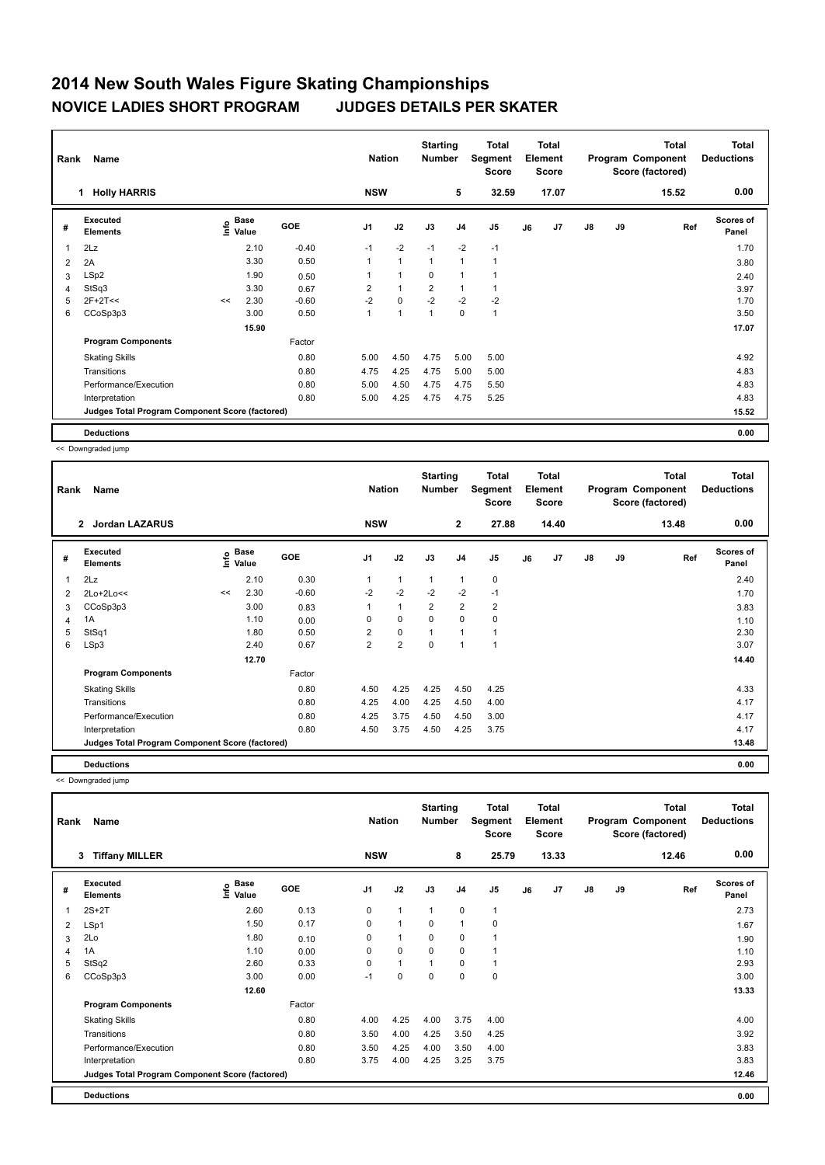## **2014 New South Wales Figure Skating Championships NOVICE LADIES SHORT PROGRAM JUDGES DETAILS PER SKATER**

| Rank | Name                                            |    | <b>Nation</b>                    |            | <b>Starting</b><br><b>Number</b> | Total<br>Segment<br><b>Score</b> | <b>Total</b><br>Element<br><b>Score</b> |                |                |    | <b>Total</b><br>Program Component<br>Score (factored) | <b>Total</b><br><b>Deductions</b> |    |       |                           |
|------|-------------------------------------------------|----|----------------------------------|------------|----------------------------------|----------------------------------|-----------------------------------------|----------------|----------------|----|-------------------------------------------------------|-----------------------------------|----|-------|---------------------------|
|      | <b>Holly HARRIS</b><br>1                        |    |                                  |            | <b>NSW</b>                       |                                  |                                         | 5              | 32.59          |    | 17.07                                                 |                                   |    | 15.52 | 0.00                      |
| #    | Executed<br><b>Elements</b>                     |    | <b>Base</b><br>e Base<br>⊆ Value | <b>GOE</b> | J <sub>1</sub>                   | J2                               | J3                                      | J <sub>4</sub> | J <sub>5</sub> | J6 | J7                                                    | J8                                | J9 | Ref   | <b>Scores of</b><br>Panel |
| 1    | 2Lz                                             |    | 2.10                             | $-0.40$    | $-1$                             | $-2$                             | $-1$                                    | $-2$           | $-1$           |    |                                                       |                                   |    |       | 1.70                      |
| 2    | 2A                                              |    | 3.30                             | 0.50       | 1                                | $\mathbf{1}$                     | 1                                       | 1              | 1              |    |                                                       |                                   |    |       | 3.80                      |
| 3    | LSp2                                            |    | 1.90                             | 0.50       | 1                                | $\overline{1}$                   | 0                                       | 1              |                |    |                                                       |                                   |    |       | 2.40                      |
| 4    | StSq3                                           |    | 3.30                             | 0.67       | $\overline{2}$                   | $\overline{1}$                   | $\overline{2}$                          | 1              |                |    |                                                       |                                   |    |       | 3.97                      |
| 5    | $2F+2T<<$                                       | << | 2.30                             | $-0.60$    | $-2$                             | $\mathbf 0$                      | $-2$                                    | $-2$           | $-2$           |    |                                                       |                                   |    |       | 1.70                      |
| 6    | CCoSp3p3                                        |    | 3.00                             | 0.50       | 1                                | 1                                | 1                                       | $\mathbf 0$    | 1              |    |                                                       |                                   |    |       | 3.50                      |
|      |                                                 |    | 15.90                            |            |                                  |                                  |                                         |                |                |    |                                                       |                                   |    |       | 17.07                     |
|      | <b>Program Components</b>                       |    |                                  | Factor     |                                  |                                  |                                         |                |                |    |                                                       |                                   |    |       |                           |
|      | <b>Skating Skills</b>                           |    |                                  | 0.80       | 5.00                             | 4.50                             | 4.75                                    | 5.00           | 5.00           |    |                                                       |                                   |    |       | 4.92                      |
|      | Transitions                                     |    |                                  | 0.80       | 4.75                             | 4.25                             | 4.75                                    | 5.00           | 5.00           |    |                                                       |                                   |    |       | 4.83                      |
|      | Performance/Execution                           |    |                                  | 0.80       | 5.00                             | 4.50                             | 4.75                                    | 4.75           | 5.50           |    |                                                       |                                   |    |       | 4.83                      |
|      | Interpretation                                  |    |                                  | 0.80       | 5.00                             | 4.25                             | 4.75                                    | 4.75           | 5.25           |    |                                                       |                                   |    |       | 4.83                      |
|      | Judges Total Program Component Score (factored) |    |                                  |            |                                  |                                  |                                         |                |                |    |                                                       |                                   |    |       | 15.52                     |
|      | <b>Deductions</b>                               |    |                                  |            |                                  |                                  |                                         |                |                |    |                                                       |                                   |    |       | 0.00                      |

<< Downgraded jump

| Rank | Name                                            |                    | <b>Nation</b> |         | <b>Starting</b><br><b>Number</b> | <b>Total</b><br>Segment<br><b>Score</b> | <b>Total</b><br>Element<br>Score |                |                         |    | <b>Total</b><br>Program Component<br>Score (factored) | <b>Total</b><br><b>Deductions</b> |    |       |                           |
|------|-------------------------------------------------|--------------------|---------------|---------|----------------------------------|-----------------------------------------|----------------------------------|----------------|-------------------------|----|-------------------------------------------------------|-----------------------------------|----|-------|---------------------------|
|      | <b>Jordan LAZARUS</b><br>$\mathbf{2}$           |                    |               |         | <b>NSW</b>                       |                                         |                                  | $\mathbf{2}$   | 27.88                   |    | 14.40                                                 |                                   |    | 13.48 | 0.00                      |
| #    | <b>Executed</b><br><b>Elements</b>              | $\frac{6}{5}$ Base |               | GOE     | J <sub>1</sub>                   | J2                                      | J3                               | J <sub>4</sub> | J <sub>5</sub>          | J6 | J <sub>7</sub>                                        | $\mathsf{J}8$                     | J9 | Ref   | <b>Scores of</b><br>Panel |
| 1    | 2Lz                                             |                    | 2.10          | 0.30    |                                  | $\mathbf{1}$                            | 1                                | 1              | 0                       |    |                                                       |                                   |    |       | 2.40                      |
| 2    | 2Lo+2Lo<<                                       | <<                 | 2.30          | $-0.60$ | $-2$                             | $-2$                                    | $-2$                             | $-2$           | $-1$                    |    |                                                       |                                   |    |       | 1.70                      |
| 3    | CCoSp3p3                                        |                    | 3.00          | 0.83    | 1                                | $\mathbf{1}$                            | $\overline{2}$                   | $\overline{2}$ | $\overline{\mathbf{c}}$ |    |                                                       |                                   |    |       | 3.83                      |
| 4    | 1A                                              |                    | 1.10          | 0.00    | 0                                | 0                                       | $\Omega$                         | 0              | 0                       |    |                                                       |                                   |    |       | 1.10                      |
| 5    | StSq1                                           |                    | 1.80          | 0.50    | $\overline{2}$                   | $\mathbf 0$                             |                                  | $\overline{1}$ | 1                       |    |                                                       |                                   |    |       | 2.30                      |
| 6    | LSp3                                            |                    | 2.40          | 0.67    | $\overline{2}$                   | $\overline{2}$                          | $\Omega$                         | 1              | 1                       |    |                                                       |                                   |    |       | 3.07                      |
|      |                                                 |                    | 12.70         |         |                                  |                                         |                                  |                |                         |    |                                                       |                                   |    |       | 14.40                     |
|      | <b>Program Components</b>                       |                    |               | Factor  |                                  |                                         |                                  |                |                         |    |                                                       |                                   |    |       |                           |
|      | <b>Skating Skills</b>                           |                    |               | 0.80    | 4.50                             | 4.25                                    | 4.25                             | 4.50           | 4.25                    |    |                                                       |                                   |    |       | 4.33                      |
|      | Transitions                                     |                    |               | 0.80    | 4.25                             | 4.00                                    | 4.25                             | 4.50           | 4.00                    |    |                                                       |                                   |    |       | 4.17                      |
|      | Performance/Execution                           |                    |               | 0.80    | 4.25                             | 3.75                                    | 4.50                             | 4.50           | 3.00                    |    |                                                       |                                   |    |       | 4.17                      |
|      | Interpretation                                  |                    |               | 0.80    | 4.50                             | 3.75                                    | 4.50                             | 4.25           | 3.75                    |    |                                                       |                                   |    |       | 4.17                      |
|      | Judges Total Program Component Score (factored) |                    |               |         |                                  |                                         |                                  |                |                         |    |                                                       |                                   |    |       | 13.48                     |
|      | <b>Deductions</b>                               |                    |               |         |                                  |                                         |                                  |                |                         |    |                                                       |                                   |    |       | 0.00                      |

<< Downgraded jump

| Rank | Name                                            |                                         | <b>Nation</b> |                | <b>Starting</b><br><b>Number</b> | Total<br>Segment<br><b>Score</b> | Total<br>Element<br><b>Score</b> |              |    |       | Total<br>Program Component<br>Score (factored) | <b>Total</b><br><b>Deductions</b> |       |                    |
|------|-------------------------------------------------|-----------------------------------------|---------------|----------------|----------------------------------|----------------------------------|----------------------------------|--------------|----|-------|------------------------------------------------|-----------------------------------|-------|--------------------|
|      | <b>Tiffany MILLER</b><br>3                      |                                         |               | <b>NSW</b>     |                                  |                                  | 8                                | 25.79        |    | 13.33 |                                                |                                   | 12.46 | 0.00               |
| #    | <b>Executed</b><br><b>Elements</b>              | $\mathsf{E}$ Base<br>$\mathsf{E}$ Value | <b>GOE</b>    | J <sub>1</sub> | J2                               | J3                               | J <sub>4</sub>                   | J5           | J6 | J7    | J8                                             | J9                                | Ref   | Scores of<br>Panel |
| 1    | $2S+2T$                                         | 2.60                                    | 0.13          | 0              | $\mathbf{1}$                     | $\mathbf{1}$                     | 0                                | $\mathbf{1}$ |    |       |                                                |                                   |       | 2.73               |
| 2    | LSp1                                            | 1.50                                    | 0.17          | 0              | $\mathbf{1}$                     | 0                                | $\mathbf{1}$                     | 0            |    |       |                                                |                                   |       | 1.67               |
| 3    | 2Lo                                             | 1.80                                    | 0.10          | 0              | $\mathbf{1}$                     | 0                                | 0                                | 1            |    |       |                                                |                                   |       | 1.90               |
| 4    | 1A                                              | 1.10                                    | 0.00          | 0              | 0                                | 0                                | 0                                |              |    |       |                                                |                                   |       | 1.10               |
| 5    | StSq2                                           | 2.60                                    | 0.33          | 0              | $\mathbf{1}$                     |                                  | 0                                | 1            |    |       |                                                |                                   |       | 2.93               |
| 6    | CCoSp3p3                                        | 3.00                                    | 0.00          | $-1$           | 0                                | 0                                | 0                                | 0            |    |       |                                                |                                   |       | 3.00               |
|      |                                                 | 12.60                                   |               |                |                                  |                                  |                                  |              |    |       |                                                |                                   |       | 13.33              |
|      | <b>Program Components</b>                       |                                         | Factor        |                |                                  |                                  |                                  |              |    |       |                                                |                                   |       |                    |
|      | <b>Skating Skills</b>                           |                                         | 0.80          | 4.00           | 4.25                             | 4.00                             | 3.75                             | 4.00         |    |       |                                                |                                   |       | 4.00               |
|      | Transitions                                     |                                         | 0.80          | 3.50           | 4.00                             | 4.25                             | 3.50                             | 4.25         |    |       |                                                |                                   |       | 3.92               |
|      | Performance/Execution                           |                                         | 0.80          | 3.50           | 4.25                             | 4.00                             | 3.50                             | 4.00         |    |       |                                                |                                   |       | 3.83               |
|      | Interpretation                                  |                                         | 0.80          | 3.75           | 4.00                             | 4.25                             | 3.25                             | 3.75         |    |       |                                                |                                   |       | 3.83               |
|      | Judges Total Program Component Score (factored) |                                         |               |                |                                  |                                  |                                  |              |    |       |                                                |                                   |       | 12.46              |
|      | <b>Deductions</b>                               |                                         |               |                |                                  |                                  |                                  |              |    |       |                                                |                                   |       | 0.00               |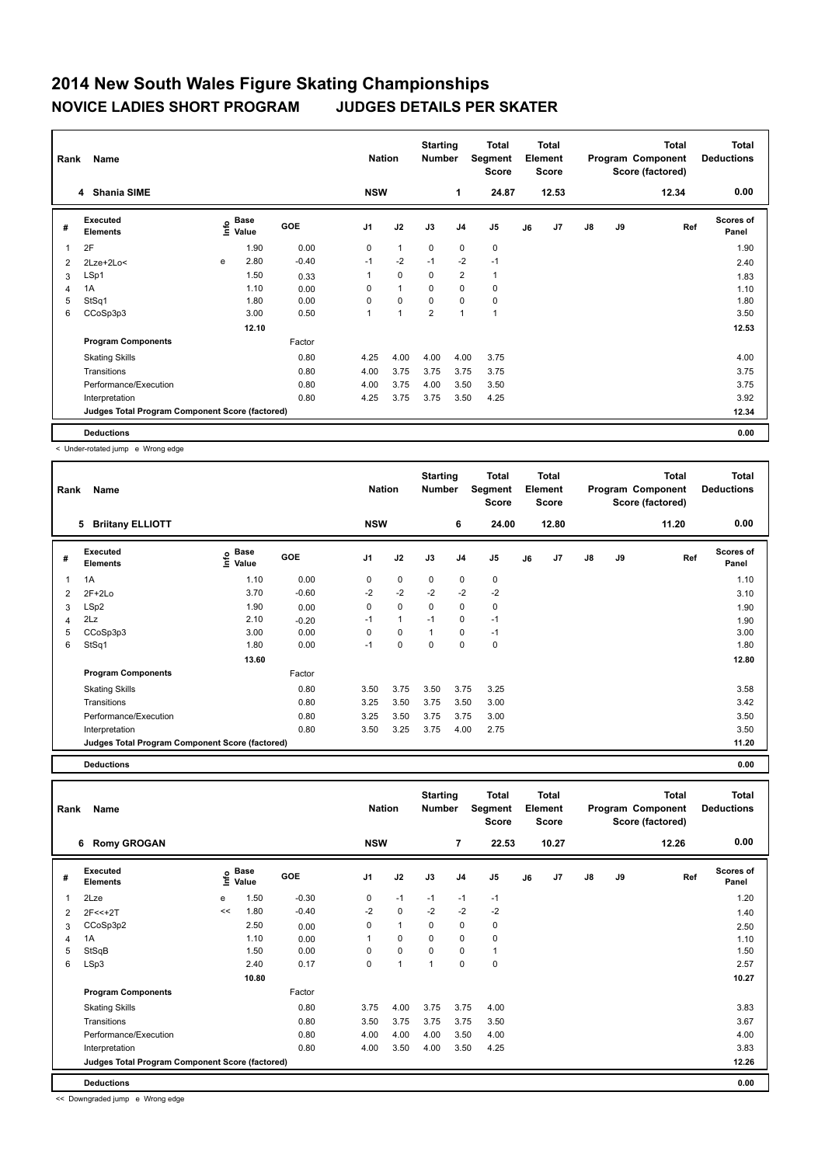## **2014 New South Wales Figure Skating Championships NOVICE LADIES SHORT PROGRAM JUDGES DETAILS PER SKATER**

| Rank           | Name                                            |   | <b>Nation</b>               |            | <b>Starting</b><br><b>Number</b> | Total<br>Segment<br><b>Score</b> | <b>Total</b><br>Element<br><b>Score</b> |                |                |    | <b>Total</b><br>Program Component<br>Score (factored) | <b>Total</b><br><b>Deductions</b> |    |       |                           |
|----------------|-------------------------------------------------|---|-----------------------------|------------|----------------------------------|----------------------------------|-----------------------------------------|----------------|----------------|----|-------------------------------------------------------|-----------------------------------|----|-------|---------------------------|
|                | 4 Shania SIME                                   |   |                             |            | <b>NSW</b>                       |                                  |                                         | 1              | 24.87          |    | 12.53                                                 |                                   |    | 12.34 | 0.00                      |
| #              | Executed<br><b>Elements</b>                     |   | Base<br>$\frac{6}{5}$ Value | <b>GOE</b> | J <sub>1</sub>                   | J2                               | J3                                      | J <sub>4</sub> | J5             | J6 | J7                                                    | $\mathsf{J}8$                     | J9 | Ref   | <b>Scores of</b><br>Panel |
| $\overline{1}$ | 2F                                              |   | 1.90                        | 0.00       | 0                                | $\mathbf{1}$                     | 0                                       | 0              | $\pmb{0}$      |    |                                                       |                                   |    |       | 1.90                      |
| $\overline{2}$ | 2Lze+2Lo<                                       | e | 2.80                        | $-0.40$    | $-1$                             | $-2$                             | $-1$                                    | $-2$           | $-1$           |    |                                                       |                                   |    |       | 2.40                      |
| 3              | LSp1                                            |   | 1.50                        | 0.33       |                                  | $\mathbf 0$                      | 0                                       | $\overline{2}$ | $\mathbf{1}$   |    |                                                       |                                   |    |       | 1.83                      |
| $\overline{4}$ | 1A                                              |   | 1.10                        | 0.00       | 0                                | $\overline{1}$                   | $\mathbf 0$                             | $\mathbf 0$    | $\mathbf 0$    |    |                                                       |                                   |    |       | 1.10                      |
| 5              | StSq1                                           |   | 1.80                        | 0.00       | 0                                | $\mathbf 0$                      | $\mathbf 0$                             | $\mathbf 0$    | $\pmb{0}$      |    |                                                       |                                   |    |       | 1.80                      |
| 6              | CCoSp3p3                                        |   | 3.00                        | 0.50       | 1                                | $\overline{1}$                   | $\overline{2}$                          | $\overline{ }$ | $\overline{1}$ |    |                                                       |                                   |    |       | 3.50                      |
|                |                                                 |   | 12.10                       |            |                                  |                                  |                                         |                |                |    |                                                       |                                   |    |       | 12.53                     |
|                | <b>Program Components</b>                       |   |                             | Factor     |                                  |                                  |                                         |                |                |    |                                                       |                                   |    |       |                           |
|                | <b>Skating Skills</b>                           |   |                             | 0.80       | 4.25                             | 4.00                             | 4.00                                    | 4.00           | 3.75           |    |                                                       |                                   |    |       | 4.00                      |
|                | Transitions                                     |   |                             | 0.80       | 4.00                             | 3.75                             | 3.75                                    | 3.75           | 3.75           |    |                                                       |                                   |    |       | 3.75                      |
|                | Performance/Execution                           |   |                             | 0.80       | 4.00                             | 3.75                             | 4.00                                    | 3.50           | 3.50           |    |                                                       |                                   |    |       | 3.75                      |
|                | Interpretation                                  |   |                             | 0.80       | 4.25                             | 3.75                             | 3.75                                    | 3.50           | 4.25           |    |                                                       |                                   |    |       | 3.92                      |
|                | Judges Total Program Component Score (factored) |   |                             |            |                                  |                                  |                                         |                |                |    |                                                       |                                   |    |       | 12.34                     |
|                | <b>Deductions</b>                               |   |                             |            |                                  |                                  |                                         |                |                |    |                                                       |                                   |    |       | 0.00                      |

< Under-rotated jump e Wrong edge

| Rank | Name                                            |                              |         | <b>Nation</b>  |              | <b>Starting</b><br><b>Number</b> |                | <b>Total</b><br>Segment<br><b>Score</b> |    | <b>Total</b><br>Element<br><b>Score</b> |               |    | Total<br>Program Component<br>Score (factored) | Total<br><b>Deductions</b> |
|------|-------------------------------------------------|------------------------------|---------|----------------|--------------|----------------------------------|----------------|-----------------------------------------|----|-----------------------------------------|---------------|----|------------------------------------------------|----------------------------|
|      | <b>Briitany ELLIOTT</b><br>5                    |                              |         | <b>NSW</b>     |              |                                  | 6              | 24.00                                   |    | 12.80                                   |               |    | 11.20                                          | 0.00                       |
| #    | <b>Executed</b><br><b>Elements</b>              | <b>Base</b><br>lnfo<br>Value | GOE     | J <sub>1</sub> | J2           | J3                               | J <sub>4</sub> | J <sub>5</sub>                          | J6 | J7                                      | $\mathsf{J}8$ | J9 | Ref                                            | <b>Scores of</b><br>Panel  |
| 1    | 1A                                              | 1.10                         | 0.00    | 0              | $\mathbf 0$  | $\mathbf 0$                      | $\mathbf 0$    | 0                                       |    |                                         |               |    |                                                | 1.10                       |
| 2    | $2F+2Lo$                                        | 3.70                         | $-0.60$ | $-2$           | $-2$         | $-2$                             | $-2$           | $-2$                                    |    |                                         |               |    |                                                | 3.10                       |
| 3    | LSp2                                            | 1.90                         | 0.00    | 0              | $\mathbf 0$  | 0                                | 0              | 0                                       |    |                                         |               |    |                                                | 1.90                       |
| 4    | 2Lz                                             | 2.10                         | $-0.20$ | $-1$           | $\mathbf{1}$ | $-1$                             | 0              | $-1$                                    |    |                                         |               |    |                                                | 1.90                       |
| 5    | CCoSp3p3                                        | 3.00                         | 0.00    | $\Omega$       | $\mathbf 0$  | $\mathbf{1}$                     | $\mathbf 0$    | $-1$                                    |    |                                         |               |    |                                                | 3.00                       |
| 6    | StSq1                                           | 1.80                         | 0.00    | $-1$           | 0            | 0                                | $\mathbf 0$    | 0                                       |    |                                         |               |    |                                                | 1.80                       |
|      |                                                 | 13.60                        |         |                |              |                                  |                |                                         |    |                                         |               |    |                                                | 12.80                      |
|      | <b>Program Components</b>                       |                              | Factor  |                |              |                                  |                |                                         |    |                                         |               |    |                                                |                            |
|      | <b>Skating Skills</b>                           |                              | 0.80    | 3.50           | 3.75         | 3.50                             | 3.75           | 3.25                                    |    |                                         |               |    |                                                | 3.58                       |
|      | Transitions                                     |                              | 0.80    | 3.25           | 3.50         | 3.75                             | 3.50           | 3.00                                    |    |                                         |               |    |                                                | 3.42                       |
|      | Performance/Execution                           |                              | 0.80    | 3.25           | 3.50         | 3.75                             | 3.75           | 3.00                                    |    |                                         |               |    |                                                | 3.50                       |
|      | Interpretation                                  |                              | 0.80    | 3.50           | 3.25         | 3.75                             | 4.00           | 2.75                                    |    |                                         |               |    |                                                | 3.50                       |
|      | Judges Total Program Component Score (factored) |                              |         |                |              |                                  |                |                                         |    |                                         |               |    |                                                | 11.20                      |

**Deductions 0.00**

**Total Deductions Total Program Component Score (factored) Total Element Score Total Segment Score Starting Rank Name Nation Number # Executed Elements Base Value GOE J1 J2 J3 J4 J5 J6 J7 J8 J9 Scores of Panel** 1 1.50 -0.30 0 -1 -1 -1 -1 **Ref**  2Lze e 1.20 **Info 6 Romy GROGAN NSW 7 22.53 10.27 12.26 0.00** 2 2F<<+2T << 1.80 -0.40 -2 0 -2 -2 -2 1.40 3 CCoSp3p2 2.50 0.00 0 1 0 0 0 2.50 4 1A 1.10 0.00 1 0 0 0 0 1.10 5 StSqB 1.50 0.00 0 0 0 0 1 1.50 6 LSp3 2.40 0.17 0 1 1 0 0 2.57  **10.80 10.27 Program Components**  Skating Skills 3.75 3.75 4.00 3.75 4.00 Factor 0.80 3.75 4.00 3.75 3.75 4.00 3.83 Transitions 0.80 3.50 3.75 3.75 3.75 3.50 3.67 Performance/Execution 0.80 4.00 4.00 4.00 3.50 4.00 4.00 Interpretation 0.80 4.00 3.50 4.00 3.50 4.25 3.83 **Deductions 0.00 Judges Total Program Component Score (factored) 12.26**

<< Downgraded jump e Wrong edge